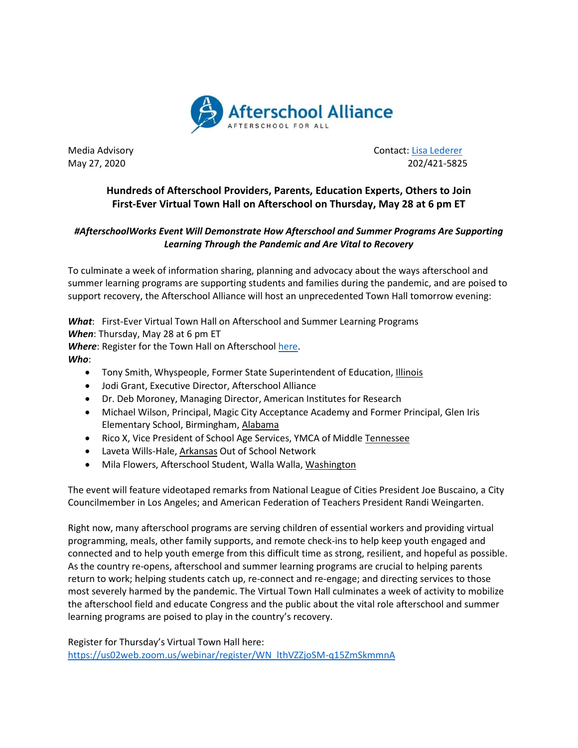

Media Advisory **Contact: [Lisa Lederer](mailto:lisa@prsolutionsdc.com)** Contact: Lisa Lederer May 27, 2020 202/421-5825

## **Hundreds of Afterschool Providers, Parents, Education Experts, Others to Join First-Ever Virtual Town Hall on Afterschool on Thursday, May 28 at 6 pm ET**

## *#AfterschoolWorks Event Will Demonstrate How Afterschool and Summer Programs Are Supporting Learning Through the Pandemic and Are Vital to Recovery*

To culminate a week of information sharing, planning and advocacy about the ways afterschool and summer learning programs are supporting students and families during the pandemic, and are poised to support recovery, the Afterschool Alliance will host an unprecedented Town Hall tomorrow evening:

*What*: First-Ever Virtual Town Hall on Afterschool and Summer Learning Programs *When*: Thursday, May 28 at 6 pm ET *Where*: Register for the Town Hall on Afterschool [here.](https://us02web.zoom.us/webinar/register/WN_lthVZZjoSM-q15ZmSkmmnA) *Who*:

- Tony Smith, Whyspeople, Former State Superintendent of Education, Illinois
- Jodi Grant, Executive Director, Afterschool Alliance
- Dr. Deb Moroney, Managing Director, American Institutes for Research
- Michael Wilson, Principal, Magic City Acceptance Academy and Former Principal, Glen Iris Elementary School, Birmingham, Alabama
- Rico X, Vice President of School Age Services, YMCA of Middle Tennessee
- Laveta Wills-Hale, Arkansas Out of School Network
- Mila Flowers, Afterschool Student, Walla Walla, Washington

The event will feature videotaped remarks from National League of Cities President Joe Buscaino, a City Councilmember in Los Angeles; and American Federation of Teachers President Randi Weingarten.

Right now, many afterschool programs are serving children of essential workers and providing virtual programming, meals, other family supports, and remote check-ins to help keep youth engaged and connected and to help youth emerge from this difficult time as strong, resilient, and hopeful as possible. As the country re-opens, afterschool and summer learning programs are crucial to helping parents return to work; helping students catch up, re-connect and re-engage; and directing services to those most severely harmed by the pandemic. The Virtual Town Hall culminates a week of activity to mobilize the afterschool field and educate Congress and the public about the vital role afterschool and summer learning programs are poised to play in the country's recovery.

Register for Thursday's Virtual Town Hall here: [https://us02web.zoom.us/webinar/register/WN\\_lthVZZjoSM-q15ZmSkmmnA](https://us02web.zoom.us/webinar/register/WN_lthVZZjoSM-q15ZmSkmmnA)